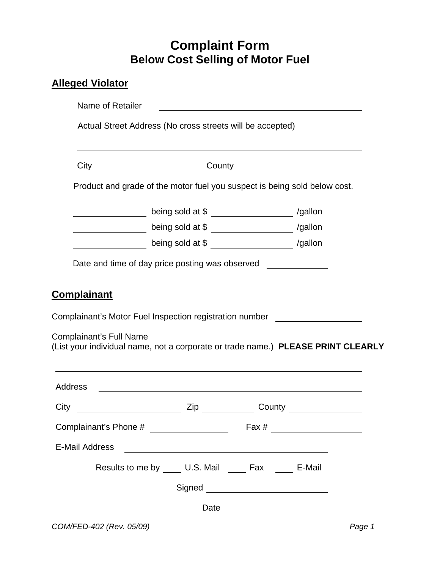## **Complaint Form Below Cost Selling of Motor Fuel**

## **Alleged Violator**

|                                                                                | ,我们也不会有什么。""我们的人,我们也不会有什么?""我们的人,我们也不会有什么?""我们的人,我们也不会有什么?""我们的人,我们也不会有什么?""我们的人                                                                                                                                                                                                  |  |
|--------------------------------------------------------------------------------|-----------------------------------------------------------------------------------------------------------------------------------------------------------------------------------------------------------------------------------------------------------------------------------|--|
|                                                                                |                                                                                                                                                                                                                                                                                   |  |
|                                                                                | Product and grade of the motor fuel you suspect is being sold below cost.                                                                                                                                                                                                         |  |
|                                                                                | being sold at \$ _____________________ /gallon                                                                                                                                                                                                                                    |  |
|                                                                                | being sold at \$ ______________ /gallon                                                                                                                                                                                                                                           |  |
|                                                                                | being sold at \$ _______________ /gallon                                                                                                                                                                                                                                          |  |
|                                                                                | Complainant's Motor Fuel Inspection registration number                                                                                                                                                                                                                           |  |
|                                                                                | (List your individual name, not a corporate or trade name.) PLEASE PRINT CLEARLY                                                                                                                                                                                                  |  |
| <b>Complainant</b><br><b>Complainant's Full Name</b><br><b>Address</b><br>City | <u> 1989 - Johann Stoff, deutscher Stoffen und der Stoffen und der Stoffen und der Stoffen und der Stoffen und der</u>                                                                                                                                                            |  |
|                                                                                | <u>Denomination of the Country Country Country and Country and Country and Country and Country and Country and Country and Country and Country and Country and Country and Country and Country and Country and Country and Count</u><br>Complainant's Phone # ___________________ |  |
| <b>E-Mail Address</b>                                                          |                                                                                                                                                                                                                                                                                   |  |
|                                                                                | Results to me by _____ U.S. Mail _____ Fax _____ E-Mail                                                                                                                                                                                                                           |  |